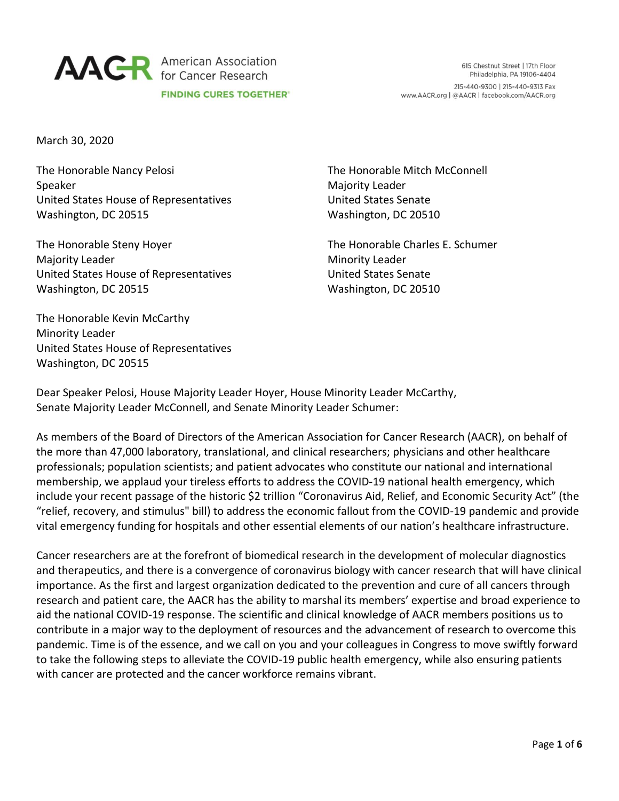

March 30, 2020

The Honorable Nancy Pelosi Speaker United States House of Representatives Washington, DC 20515

The Honorable Steny Hoyer Majority Leader United States House of Representatives Washington, DC 20515

The Honorable Mitch McConnell Majority Leader United States Senate Washington, DC 20510

The Honorable Charles E. Schumer Minority Leader United States Senate Washington, DC 20510

The Honorable Kevin McCarthy Minority Leader United States House of Representatives Washington, DC 20515

Dear Speaker Pelosi, House Majority Leader Hoyer, House Minority Leader McCarthy, Senate Majority Leader McConnell, and Senate Minority Leader Schumer:

As members of the Board of Directors of the American Association for Cancer Research (AACR), on behalf of the more than 47,000 laboratory, translational, and clinical researchers; physicians and other healthcare professionals; population scientists; and patient advocates who constitute our national and international membership, we applaud your tireless efforts to address the COVID-19 national health emergency, which include your recent passage of the historic \$2 trillion "Coronavirus Aid, Relief, and Economic Security Act" (the "relief, recovery, and stimulus" bill) to address the economic fallout from the COVID-19 pandemic and provide vital emergency funding for hospitals and other essential elements of our nation's healthcare infrastructure.

Cancer researchers are at the forefront of biomedical research in the development of molecular diagnostics and therapeutics, and there is a convergence of coronavirus biology with cancer research that will have clinical importance. As the first and largest organization dedicated to the prevention and cure of all cancers through research and patient care, the AACR has the ability to marshal its members' expertise and broad experience to aid the national COVID-19 response. The scientific and clinical knowledge of AACR members positions us to contribute in a major way to the deployment of resources and the advancement of research to overcome this pandemic. Time is of the essence, and we call on you and your colleagues in Congress to move swiftly forward to take the following steps to alleviate the COVID-19 public health emergency, while also ensuring patients with cancer are protected and the cancer workforce remains vibrant.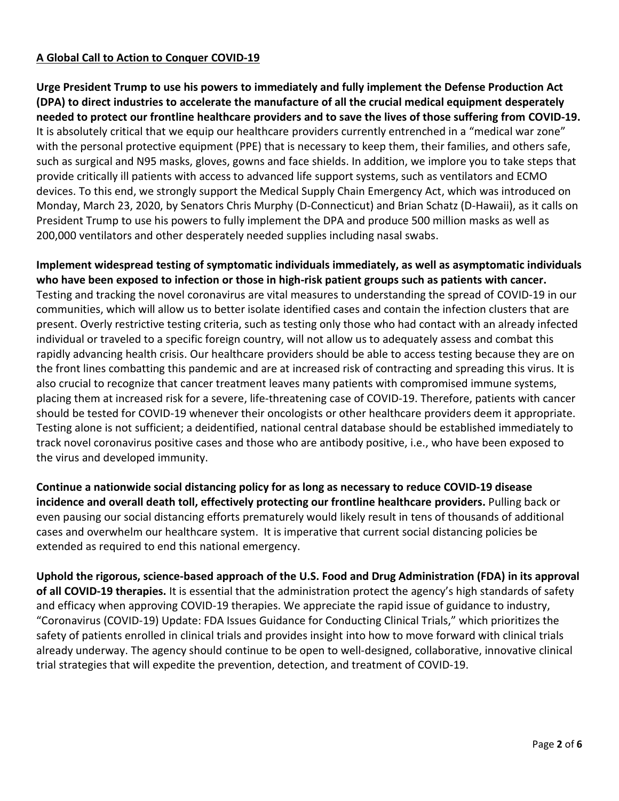# **A Global Call to Action to Conquer COVID-19**

**Urge President Trump to use his powers to immediately and fully implement the Defense Production Act (DPA) to direct industries to accelerate the manufacture of all the crucial medical equipment desperately needed to protect our frontline healthcare providers and to save the lives of those suffering from COVID-19.** It is absolutely critical that we equip our healthcare providers currently entrenched in a "medical war zone" with the personal protective equipment (PPE) that is necessary to keep them, their families, and others safe, such as surgical and N95 masks, gloves, gowns and face shields. In addition, we implore you to take steps that provide critically ill patients with access to advanced life support systems, such as ventilators and ECMO devices. To this end, we strongly support the Medical Supply Chain Emergency Act, which was introduced on Monday, March 23, 2020, by Senators Chris Murphy (D-Connecticut) and Brian Schatz (D-Hawaii), as it calls on President Trump to use his powers to fully implement the DPA and produce 500 million masks as well as 200,000 ventilators and other desperately needed supplies including nasal swabs.

**Implement widespread testing of symptomatic individuals immediately, as well as asymptomatic individuals who have been exposed to infection or those in high-risk patient groups such as patients with cancer.** Testing and tracking the novel coronavirus are vital measures to understanding the spread of COVID-19 in our communities, which will allow us to better isolate identified cases and contain the infection clusters that are present. Overly restrictive testing criteria, such as testing only those who had contact with an already infected individual or traveled to a specific foreign country, will not allow us to adequately assess and combat this rapidly advancing health crisis. Our healthcare providers should be able to access testing because they are on the front lines combatting this pandemic and are at increased risk of contracting and spreading this virus. It is also crucial to recognize that cancer treatment leaves many patients with compromised immune systems, placing them at increased risk for a severe, life-threatening case of COVID-19. Therefore, patients with cancer should be tested for COVID-19 whenever their oncologists or other healthcare providers deem it appropriate. Testing alone is not sufficient; a deidentified, national central database should be established immediately to track novel coronavirus positive cases and those who are antibody positive, i.e., who have been exposed to the virus and developed immunity.

**Continue a nationwide social distancing policy for as long as necessary to reduce COVID-19 disease incidence and overall death toll, effectively protecting our frontline healthcare providers.** Pulling back or even pausing our social distancing efforts prematurely would likely result in tens of thousands of additional cases and overwhelm our healthcare system. It is imperative that current social distancing policies be extended as required to end this national emergency.

**Uphold the rigorous, science-based approach of the U.S. Food and Drug Administration (FDA) in its approval of all COVID-19 therapies.** It is essential that the administration protect the agency's high standards of safety and efficacy when approving COVID-19 therapies. We appreciate the rapid issue of guidance to industry, "Coronavirus (COVID-19) Update: FDA Issues Guidance for Conducting Clinical Trials," which prioritizes the safety of patients enrolled in clinical trials and provides insight into how to move forward with clinical trials already underway. The agency should continue to be open to well-designed, collaborative, innovative clinical trial strategies that will expedite the prevention, detection, and treatment of COVID-19.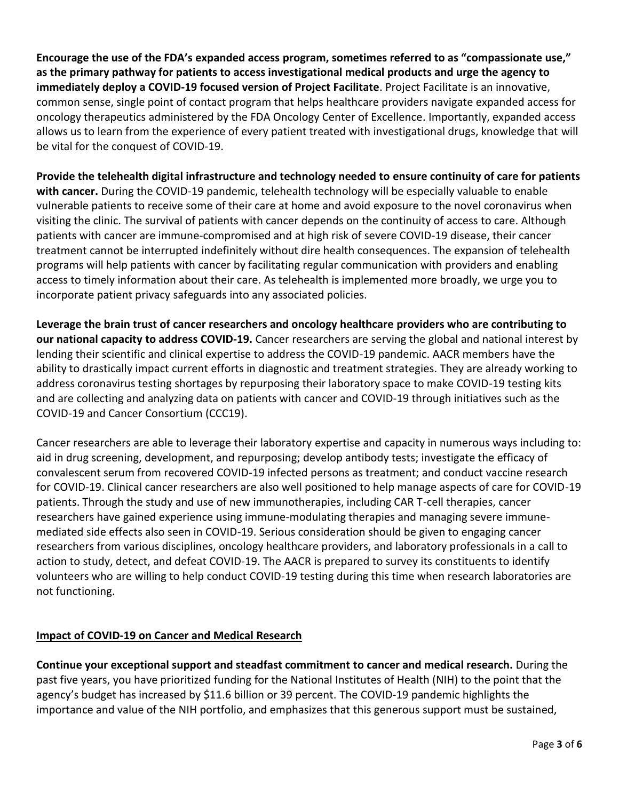**Encourage the use of the FDA's expanded access program, sometimes referred to as "compassionate use," as the primary pathway for patients to access investigational medical products and urge the agency to immediately deploy a COVID-19 focused version of Project Facilitate**. Project Facilitate is an innovative, common sense, single point of contact program that helps healthcare providers navigate expanded access for oncology therapeutics administered by the FDA Oncology Center of Excellence. Importantly, expanded access allows us to learn from the experience of every patient treated with investigational drugs, knowledge that will be vital for the conquest of COVID-19.

**Provide the telehealth digital infrastructure and technology needed to ensure continuity of care for patients with cancer.** During the COVID-19 pandemic, telehealth technology will be especially valuable to enable vulnerable patients to receive some of their care at home and avoid exposure to the novel coronavirus when visiting the clinic. The survival of patients with cancer depends on the continuity of access to care. Although patients with cancer are immune-compromised and at high risk of severe COVID-19 disease, their cancer treatment cannot be interrupted indefinitely without dire health consequences. The expansion of telehealth programs will help patients with cancer by facilitating regular communication with providers and enabling access to timely information about their care. As telehealth is implemented more broadly, we urge you to incorporate patient privacy safeguards into any associated policies.

**Leverage the brain trust of cancer researchers and oncology healthcare providers who are contributing to our national capacity to address COVID-19.** Cancer researchers are serving the global and national interest by lending their scientific and clinical expertise to address the COVID-19 pandemic. AACR members have the ability to drastically impact current efforts in diagnostic and treatment strategies. They are already working to address coronavirus testing shortages by repurposing their laboratory space to make COVID-19 testing kits and are collecting and analyzing data on patients with cancer and COVID-19 through initiatives such as the COVID-19 and Cancer Consortium (CCC19).

Cancer researchers are able to leverage their laboratory expertise and capacity in numerous ways including to: aid in drug screening, development, and repurposing; develop antibody tests; investigate the efficacy of convalescent serum from recovered COVID-19 infected persons as treatment; and conduct vaccine research for COVID-19. Clinical cancer researchers are also well positioned to help manage aspects of care for COVID-19 patients. Through the study and use of new immunotherapies, including CAR T-cell therapies, cancer researchers have gained experience using immune-modulating therapies and managing severe immunemediated side effects also seen in COVID-19. Serious consideration should be given to engaging cancer researchers from various disciplines, oncology healthcare providers, and laboratory professionals in a call to action to study, detect, and defeat COVID-19. The AACR is prepared to survey its constituents to identify volunteers who are willing to help conduct COVID-19 testing during this time when research laboratories are not functioning.

# **Impact of COVID-19 on Cancer and Medical Research**

**Continue your exceptional support and steadfast commitment to cancer and medical research.** During the past five years, you have prioritized funding for the National Institutes of Health (NIH) to the point that the agency's budget has increased by \$11.6 billion or 39 percent. The COVID-19 pandemic highlights the importance and value of the NIH portfolio, and emphasizes that this generous support must be sustained,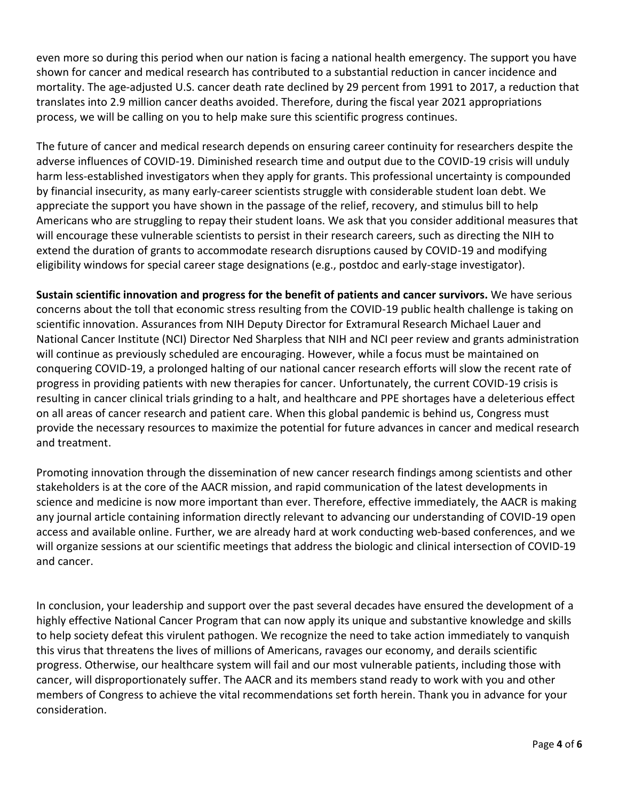even more so during this period when our nation is facing a national health emergency. The support you have shown for cancer and medical research has contributed to a substantial reduction in cancer incidence and mortality. The age-adjusted U.S. cancer death rate declined by 29 percent from 1991 to 2017, a reduction that translates into 2.9 million cancer deaths avoided. Therefore, during the fiscal year 2021 appropriations process, we will be calling on you to help make sure this scientific progress continues.

The future of cancer and medical research depends on ensuring career continuity for researchers despite the adverse influences of COVID-19. Diminished research time and output due to the COVID-19 crisis will unduly harm less-established investigators when they apply for grants. This professional uncertainty is compounded by financial insecurity, as many early-career scientists struggle with considerable student loan debt. We appreciate the support you have shown in the passage of the relief, recovery, and stimulus bill to help Americans who are struggling to repay their student loans. We ask that you consider additional measures that will encourage these vulnerable scientists to persist in their research careers, such as directing the NIH to extend the duration of grants to accommodate research disruptions caused by COVID-19 and modifying eligibility windows for special career stage designations (e.g., postdoc and early-stage investigator).

**Sustain scientific innovation and progress for the benefit of patients and cancer survivors.** We have serious concerns about the toll that economic stress resulting from the COVID-19 public health challenge is taking on scientific innovation. Assurances from NIH Deputy Director for Extramural Research Michael Lauer and National Cancer Institute (NCI) Director Ned Sharpless that NIH and NCI peer review and grants administration will continue as previously scheduled are encouraging. However, while a focus must be maintained on conquering COVID-19, a prolonged halting of our national cancer research efforts will slow the recent rate of progress in providing patients with new therapies for cancer. Unfortunately, the current COVID-19 crisis is resulting in cancer clinical trials grinding to a halt, and healthcare and PPE shortages have a deleterious effect on all areas of cancer research and patient care. When this global pandemic is behind us, Congress must provide the necessary resources to maximize the potential for future advances in cancer and medical research and treatment.

Promoting innovation through the dissemination of new cancer research findings among scientists and other stakeholders is at the core of the AACR mission, and rapid communication of the latest developments in science and medicine is now more important than ever. Therefore, effective immediately, the AACR is making any journal article containing information directly relevant to advancing our understanding of COVID-19 open access and available online. Further, we are already hard at work conducting web-based conferences, and we will organize sessions at our scientific meetings that address the biologic and clinical intersection of COVID-19 and cancer.

In conclusion, your leadership and support over the past several decades have ensured the development of a highly effective National Cancer Program that can now apply its unique and substantive knowledge and skills to help society defeat this virulent pathogen. We recognize the need to take action immediately to vanquish this virus that threatens the lives of millions of Americans, ravages our economy, and derails scientific progress. Otherwise, our healthcare system will fail and our most vulnerable patients, including those with cancer, will disproportionately suffer. The AACR and its members stand ready to work with you and other members of Congress to achieve the vital recommendations set forth herein. Thank you in advance for your consideration.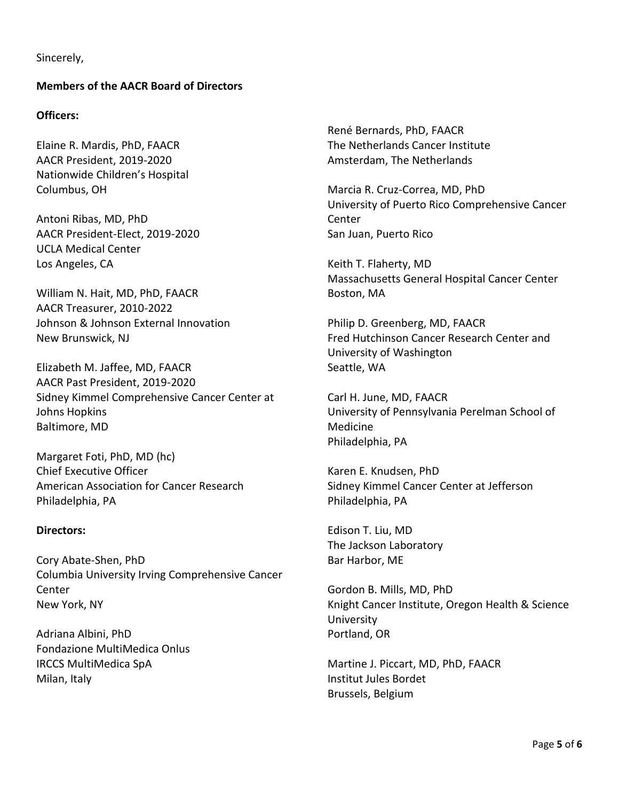Sincerely,

## **Members of the AACR Board of Directors**

#### **Officers:**

Elaine R. Mardis, PhD, FAACR AACR President, 2019-2020 Nationwide Children's Hospital Columbus, OH

Antoni Ribas, MD, PhD AACR President-Elect, 2019-2020 UCLA Medical Center Los Angeles, CA

William N. Hait, MD, PhD, FAACR AACR Treasurer, 2010-2022 Johnson & Johnson External Innovation New Brunswick, NJ

Elizabeth M. Jaffee, MD, FAACR AACR Past President, 2019-2020 Sidney Kimmel Comprehensive Cancer Center at Johns Hopkins Baltimore, MD

Margaret Foti, PhD, MD (hc) Chief Executive Officer American Association for Cancer Research Philadelphia, PA

### **Directors:**

Cory Abate-Shen, PhD Columbia University Irving Comprehensive Cancer Center New York, NY

Adriana Albini, PhD Fondazione MultiMedica Onlus IRCCS MultiMedica SpA Milan, Italy

René Bernards, PhD, FAACR The Netherlands Cancer Institute Amsterdam, The Netherlands

Marcia R. Cruz-Correa, MD, PhD University of Puerto Rico Comprehensive Cancer Center San Juan, Puerto Rico

Keith T. Flaherty, MD Massachusetts General Hospital Cancer Center Boston, MA

Philip D. Greenberg, MD, FAACR Fred Hutchinson Cancer Research Center and University of Washington Seattle, WA

Carl H. June, MD, FAACR University of Pennsylvania Perelman School of Medicine Philadelphia, PA

Karen E. Knudsen, PhD Sidney Kimmel Cancer Center at Jefferson Philadelphia, PA

Edison T. Liu, MD The Jackson Laboratory Bar Harbor, ME

Gordon B. Mills, MD, PhD Knight Cancer Institute, Oregon Health & Science University Portland, OR

Martine J. Piccart, MD, PhD, FAACR Institut Jules Bordet Brussels, Belgium